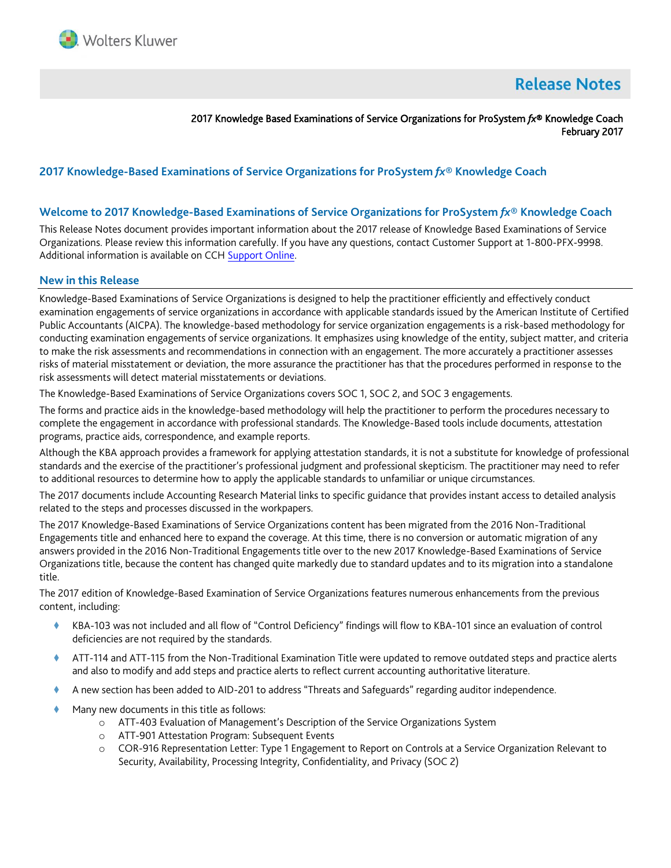

# **Release Notes**

2017 Knowledge Based Examinations of Service Organizations for ProSystem *fx*® Knowledge Coach February 2017

## **2017 Knowledge-Based Examinations of Service Organizations for ProSystem** *fx***® Knowledge Coach**

#### **Welcome to 2017 Knowledge-Based Examinations of Service Organizations for ProSystem** *fx***® Knowledge Coach**

This Release Notes document provides important information about the 2017 release of Knowledge Based Examinations of Service Organizations. Please review this information carefully. If you have any questions, contact Customer Support at 1-800-PFX-9998. Additional information is available on CCH [Support Online.](http://support.cch.com/productsupport/)

#### **New in this Release**

Knowledge-Based Examinations of Service Organizations is designed to help the practitioner efficiently and effectively conduct examination engagements of service organizations in accordance with applicable standards issued by the American Institute of Certified Public Accountants (AICPA). The knowledge-based methodology for service organization engagements is a risk-based methodology for conducting examination engagements of service organizations. It emphasizes using knowledge of the entity, subject matter, and criteria to make the risk assessments and recommendations in connection with an engagement. The more accurately a practitioner assesses risks of material misstatement or deviation, the more assurance the practitioner has that the procedures performed in response to the risk assessments will detect material misstatements or deviations.

The Knowledge-Based Examinations of Service Organizations covers SOC 1, SOC 2, and SOC 3 engagements.

The forms and practice aids in the knowledge-based methodology will help the practitioner to perform the procedures necessary to complete the engagement in accordance with professional standards. The Knowledge-Based tools include documents, attestation programs, practice aids, correspondence, and example reports.

Although the KBA approach provides a framework for applying attestation standards, it is not a substitute for knowledge of professional standards and the exercise of the practitioner's professional judgment and professional skepticism. The practitioner may need to refer to additional resources to determine how to apply the applicable standards to unfamiliar or unique circumstances.

The 2017 documents include Accounting Research Material links to specific guidance that provides instant access to detailed analysis related to the steps and processes discussed in the workpapers.

The 2017 Knowledge-Based Examinations of Service Organizations content has been migrated from the 2016 Non-Traditional Engagements title and enhanced here to expand the coverage. At this time, there is no conversion or automatic migration of any answers provided in the 2016 Non-Traditional Engagements title over to the new 2017 Knowledge-Based Examinations of Service Organizations title, because the content has changed quite markedly due to standard updates and to its migration into a standalone title.

The 2017 edition of Knowledge-Based Examination of Service Organizations features numerous enhancements from the previous content, including:

- KBA-103 was not included and all flow of "Control Deficiency" findings will flow to KBA-101 since an evaluation of control deficiencies are not required by the standards.
- ATT-114 and ATT-115 from the Non-Traditional Examination Title were updated to remove outdated steps and practice alerts and also to modify and add steps and practice alerts to reflect current accounting authoritative literature.
- A new section has been added to AID-201 to address "Threats and Safeguards" regarding auditor independence.
- Many new documents in this title as follows:
	- o ATT-403 Evaluation of Management's Description of the Service Organizations System
	- o ATT-901 Attestation Program: Subsequent Events
	- o COR-916 Representation Letter: Type 1 Engagement to Report on Controls at a Service Organization Relevant to Security, Availability, Processing Integrity, Confidentiality, and Privacy (SOC 2)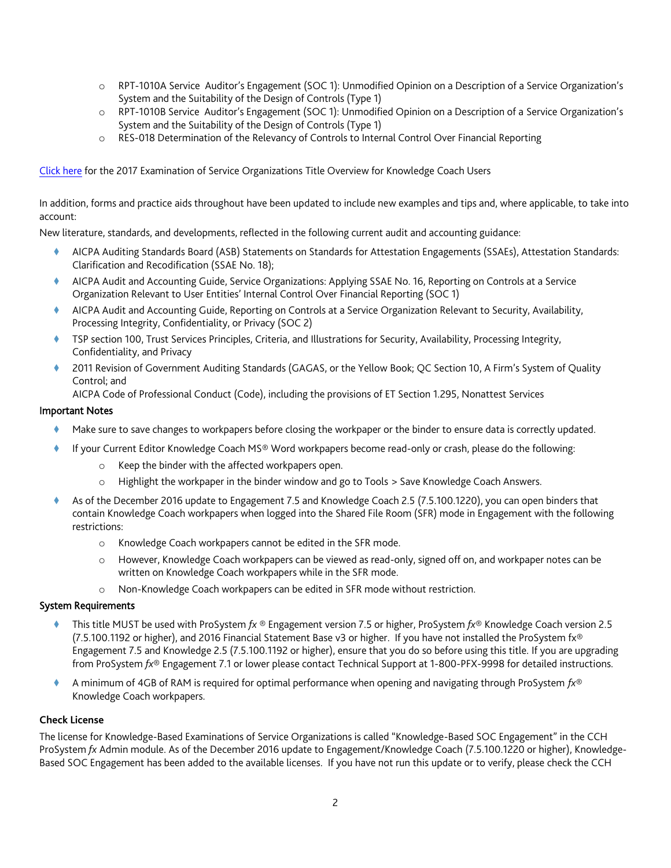- o RPT-1010A Service Auditor's Engagement (SOC 1): Unmodified Opinion on a Description of a Service Organization's System and the Suitability of the Design of Controls (Type 1)
- o RPT-1010B Service Auditor's Engagement (SOC 1): Unmodified Opinion on a Description of a Service Organization's System and the Suitability of the Design of Controls (Type 1)
- o RES-018 Determination of the Relevancy of Controls to Internal Control Over Financial Reporting

[Click here](http://support.cch.com/updates/KnowledgeCoach/pdf/guides_tab/2017%20Service%20Organizations%20Title%20Overview%20for%20Knowledge%20Coach%20Users.pdf) for the 2017 Examination of Service Organizations Title Overview for Knowledge Coach Users

In addition, forms and practice aids throughout have been updated to include new examples and tips and, where applicable, to take into account:

New literature, standards, and developments, reflected in the following current audit and accounting guidance:

- AICPA Auditing Standards Board (ASB) Statements on Standards for Attestation Engagements (SSAEs), Attestation Standards: Clarification and Recodification (SSAE No. 18);
- AICPA Audit and Accounting Guide, Service Organizations: Applying SSAE No. 16, Reporting on Controls at a Service Organization Relevant to User Entities' Internal Control Over Financial Reporting (SOC 1)
- AICPA Audit and Accounting Guide, Reporting on Controls at a Service Organization Relevant to Security, Availability, Processing Integrity, Confidentiality, or Privacy (SOC 2)
- TSP section 100, Trust Services Principles, Criteria, and Illustrations for Security, Availability, Processing Integrity, Confidentiality, and Privacy
- 2011 Revision of Government Auditing Standards (GAGAS, or the Yellow Book; QC Section 10, A Firm's System of Quality Control; and

AICPA Code of Professional Conduct (Code), including the provisions of ET Section 1.295, Nonattest Services

#### Important Notes

- Make sure to save changes to workpapers before closing the workpaper or the binder to ensure data is correctly updated.
- If your Current Editor Knowledge Coach MS® Word workpapers become read-only or crash, please do the following:
	- o Keep the binder with the affected workpapers open.
	- o Highlight the workpaper in the binder window and go to Tools > Save Knowledge Coach Answers.
- As of the December 2016 update to Engagement 7.5 and Knowledge Coach 2.5 (7.5.100.1220), you can open binders that contain Knowledge Coach workpapers when logged into the Shared File Room (SFR) mode in Engagement with the following restrictions:
	- o Knowledge Coach workpapers cannot be edited in the SFR mode.
	- o However, Knowledge Coach workpapers can be viewed as read-only, signed off on, and workpaper notes can be written on Knowledge Coach workpapers while in the SFR mode.
	- o Non-Knowledge Coach workpapers can be edited in SFR mode without restriction.

#### System Requirements

- This title MUST be used with ProSystem *fx* ® Engagement version 7.5 or higher, ProSystem *fx*® Knowledge Coach version 2.5 (7.5.100.1192 or higher), and 2016 Financial Statement Base v3 or higher. If you have not installed the ProSystem fx® Engagement 7.5 and Knowledge 2.5 (7.5.100.1192 or higher), ensure that you do so before using this title. If you are upgrading from ProSystem *fx*® Engagement 7.1 or lower please contact Technical Support at 1-800-PFX-9998 for detailed instructions.
- A minimum of 4GB of RAM is required for optimal performance when opening and navigating through ProSystem *fx*® Knowledge Coach workpapers.

#### **Check License**

The license for Knowledge-Based Examinations of Service Organizations is called "Knowledge-Based SOC Engagement" in the CCH ProSystem *fx* Admin module. As of the December 2016 update to Engagement/Knowledge Coach (7.5.100.1220 or higher), Knowledge-Based SOC Engagement has been added to the available licenses. If you have not run this update or to verify, please check the CCH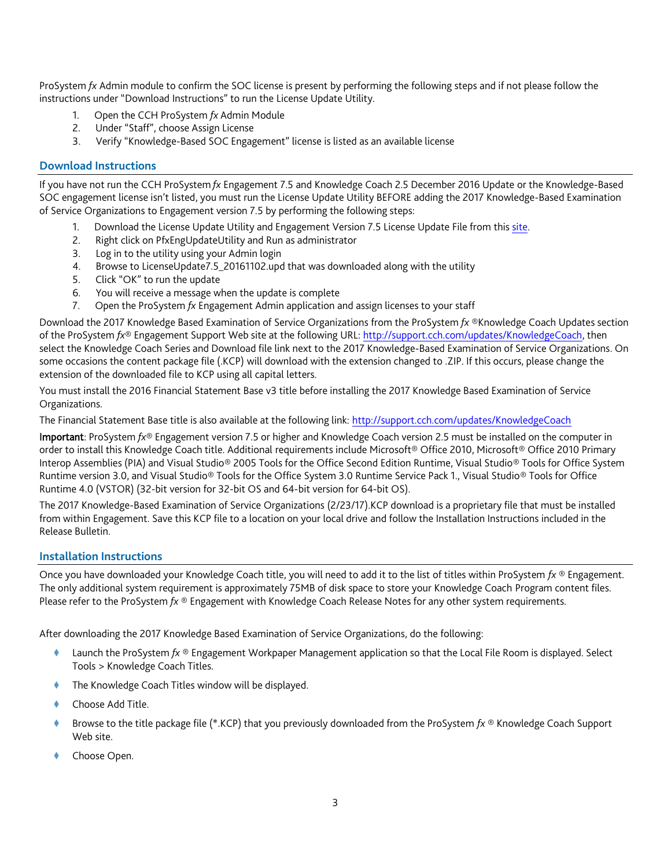ProSystem *fx* Admin module to confirm the SOC license is present by performing the following steps and if not please follow the instructions under "Download Instructions" to run the License Update Utility.

- 1. Open the CCH ProSystem *fx* Admin Module
- 2. Under "Staff", choose Assign License
- 3. Verify "Knowledge-Based SOC Engagement" license is listed as an available license

### **Download Instructions**

If you have not run the CCH ProSystem *fx* Engagement 7.5 and Knowledge Coach 2.5 December 2016 Update or the Knowledge-Based SOC engagement license isn't listed, you must run the License Update Utility BEFORE adding the 2017 Knowledge-Based Examination of Service Organizations to Engagement version 7.5 by performing the following steps:

- 1. Download the License Update Utility and Engagement Version 7.5 License Update File from this [site.](https://support.cch.com/updates/Engagement/#engagementLicenseFiles)
- 2. Right click on PfxEngUpdateUtility and Run as administrator
- 3. Log in to the utility using your Admin login
- 4. Browse to LicenseUpdate7.5\_20161102.upd that was downloaded along with the utility
- 5. Click "OK" to run the update
- 6. You will receive a message when the update is complete
- 7. Open the ProSystem *fx* Engagement Admin application and assign licenses to your staff

Download the 2017 Knowledge Based Examination of Service Organizations from the ProSystem *fx* ®Knowledge Coach Updates section of the ProSystem *fx*® Engagement Support Web site at the following URL[: http://support.cch.com/updates/KnowledgeCoach,](http://support.cch.com/updates/KnowledgeCoach) then select the Knowledge Coach Series and Download file link next to the 2017 Knowledge-Based Examination of Service Organizations. On some occasions the content package file (.KCP) will download with the extension changed to .ZIP. If this occurs, please change the extension of the downloaded file to KCP using all capital letters.

You must install the 2016 Financial Statement Base v3 title before installing the 2017 Knowledge Based Examination of Service Organizations.

The Financial Statement Base title is also available at the following link:<http://support.cch.com/updates/KnowledgeCoach>

Important: ProSystem *fx*® Engagement version 7.5 or higher and Knowledge Coach version 2.5 must be installed on the computer in order to install this Knowledge Coach title. Additional requirements include Microsoft® Office 2010, Microsoft® Office 2010 Primary Interop Assemblies (PIA) and Visual Studio® 2005 Tools for the Office Second Edition Runtime, Visual Studio® Tools for Office System Runtime version 3.0, and Visual Studio® Tools for the Office System 3.0 Runtime Service Pack 1., Visual Studio® Tools for Office Runtime 4.0 (VSTOR) (32-bit version for 32-bit OS and 64-bit version for 64-bit OS).

The 2017 Knowledge-Based Examination of Service Organizations (2/23/17).KCP download is a proprietary file that must be installed from within Engagement. Save this KCP file to a location on your local drive and follow the Installation Instructions included in the Release Bulletin.

#### **Installation Instructions**

Once you have downloaded your Knowledge Coach title, you will need to add it to the list of titles within ProSystem *fx* ® Engagement. The only additional system requirement is approximately 75MB of disk space to store your Knowledge Coach Program content files. Please refer to the ProSystem *fx* ® Engagement with Knowledge Coach Release Notes for any other system requirements.

After downloading the 2017 Knowledge Based Examination of Service Organizations, do the following:

- Launch the ProSystem *fx* ® Engagement Workpaper Management application so that the Local File Room is displayed. Select Tools > Knowledge Coach Titles.
- The Knowledge Coach Titles window will be displayed.
- Choose Add Title.
- Browse to the title package file (\*.KCP) that you previously downloaded from the ProSystem *fx* ® Knowledge Coach Support Web site.
- Choose Open.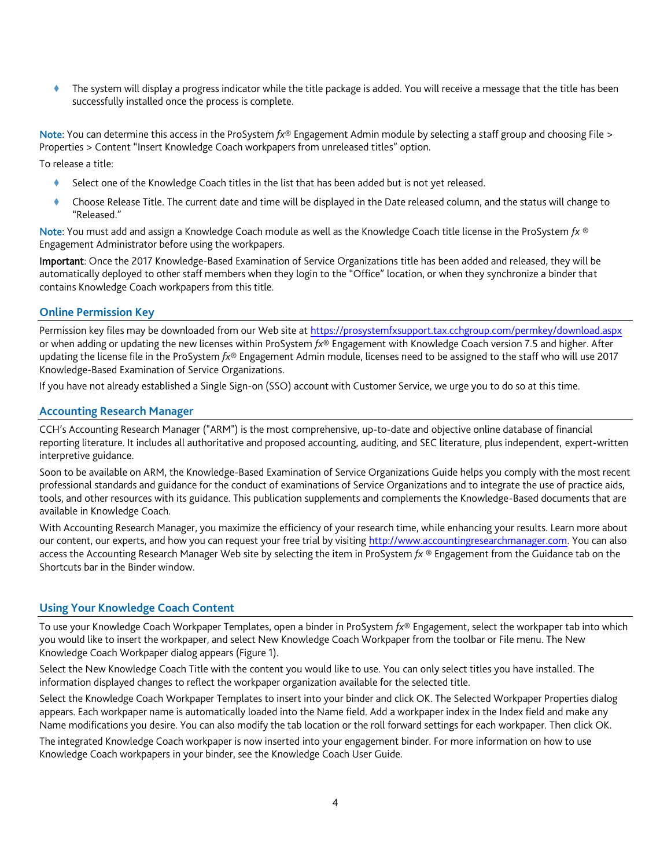The system will display a progress indicator while the title package is added. You will receive a message that the title has been successfully installed once the process is complete.

Note: You can determine this access in the ProSystem *fx*® Engagement Admin module by selecting a staff group and choosing File > Properties > Content "Insert Knowledge Coach workpapers from unreleased titles" option.

To release a title:

- ♦ Select one of the Knowledge Coach titles in the list that has been added but is not yet released.
- Choose Release Title. The current date and time will be displayed in the Date released column, and the status will change to "Released."

Note: You must add and assign a Knowledge Coach module as well as the Knowledge Coach title license in the ProSystem *fx* ® Engagement Administrator before using the workpapers.

Important: Once the 2017 Knowledge-Based Examination of Service Organizations title has been added and released, they will be automatically deployed to other staff members when they login to the "Office" location, or when they synchronize a binder that contains Knowledge Coach workpapers from this title.

#### **Online Permission Key**

Permission key files may be downloaded from our Web site a[t https://prosystemfxsupport.tax.cchgroup.com/permkey/download.aspx](https://prosystemfxsupport.tax.cchgroup.com/permkey/download.aspx) or when adding or updating the new licenses within ProSystem *fx*® Engagement with Knowledge Coach version 7.5 and higher. After updating the license file in the ProSystem *fx*® Engagement Admin module, licenses need to be assigned to the staff who will use 2017 Knowledge-Based Examination of Service Organizations.

If you have not already established a Single Sign-on (SSO) account with Customer Service, we urge you to do so at this time.

#### **Accounting Research Manager**

CCH's Accounting Research Manager ("ARM") is the most comprehensive, up-to-date and objective online database of financial reporting literature. It includes all authoritative and proposed accounting, auditing, and SEC literature, plus independent, expert-written interpretive guidance.

Soon to be available on ARM, the Knowledge-Based Examination of Service Organizations Guide helps you comply with the most recent professional standards and guidance for the conduct of examinations of Service Organizations and to integrate the use of practice aids, tools, and other resources with its guidance. This publication supplements and complements the Knowledge-Based documents that are available in Knowledge Coach.

With Accounting Research Manager, you maximize the efficiency of your research time, while enhancing your results. Learn more about our content, our experts, and how you can request your free trial by visiting [http://www.accountingresearchmanager.com.](http://www.accountingresearchmanager.com/) You can also access the Accounting Research Manager Web site by selecting the item in ProSystem *fx* ® Engagement from the Guidance tab on the Shortcuts bar in the Binder window.

## **Using Your Knowledge Coach Content**

To use your Knowledge Coach Workpaper Templates, open a binder in ProSystem *fx*® Engagement, select the workpaper tab into which you would like to insert the workpaper, and select New Knowledge Coach Workpaper from the toolbar or File menu. The New Knowledge Coach Workpaper dialog appears (Figure 1).

Select the New Knowledge Coach Title with the content you would like to use. You can only select titles you have installed. The information displayed changes to reflect the workpaper organization available for the selected title.

Select the Knowledge Coach Workpaper Templates to insert into your binder and click OK. The Selected Workpaper Properties dialog appears. Each workpaper name is automatically loaded into the Name field. Add a workpaper index in the Index field and make any Name modifications you desire. You can also modify the tab location or the roll forward settings for each workpaper. Then click OK.

The integrated Knowledge Coach workpaper is now inserted into your engagement binder. For more information on how to use Knowledge Coach workpapers in your binder, see the Knowledge Coach User Guide.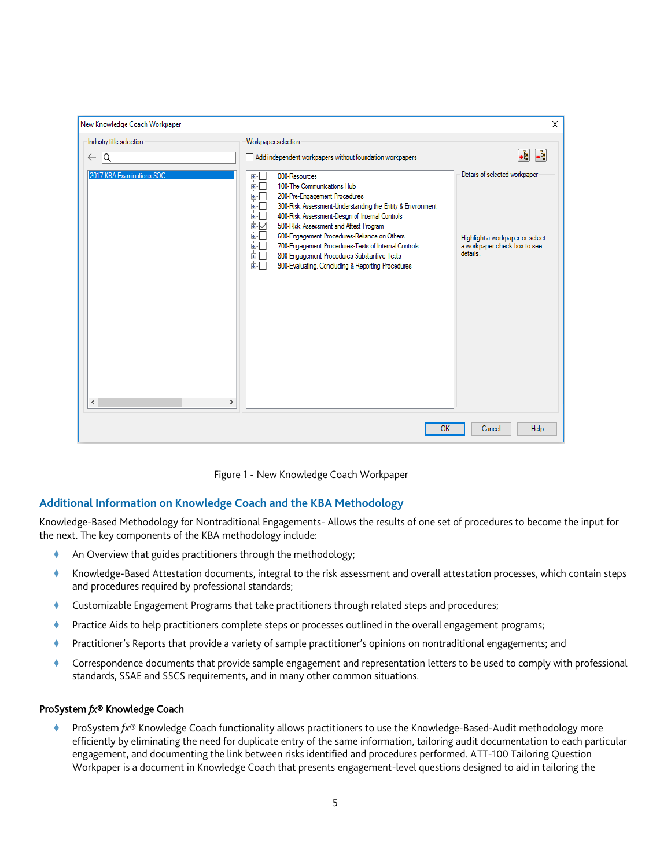| New Knowledge Coach Workpaper                   |                                                                                                                                                                                                                                                                                                                                                                                                                                                                                                                       | $\times$                                                                                                     |
|-------------------------------------------------|-----------------------------------------------------------------------------------------------------------------------------------------------------------------------------------------------------------------------------------------------------------------------------------------------------------------------------------------------------------------------------------------------------------------------------------------------------------------------------------------------------------------------|--------------------------------------------------------------------------------------------------------------|
| Industry title selection<br>1Q<br>$\leftarrow$  | Workpaper selection<br>Add independent workpapers without foundation workpapers                                                                                                                                                                                                                                                                                                                                                                                                                                       | J.<br>-å                                                                                                     |
| 2017 KBA Examinations SOC<br>≺<br>$\mathcal{P}$ | 000-Resources<br>田中<br>100-The Communications Hub<br>面一<br>200-Pre-Engagement Procedures<br>中国<br>300-Risk Assessment-Understanding the Entity & Environment<br>画画<br>400-Risk Assessment-Design of Internal Controls<br>由------<br>È∽<br>500-Risk Assessment and Attest Program<br>600-Engagement Procedures-Reliance on Others<br>面石<br>700-Engagement Procedures-Tests of Internal Controls<br>电电压<br>800-Engagement Procedures-Substantive Tests<br>面目<br>面口<br>900-Evaluating, Concluding & Reporting Procedures | Details of selected workpaper<br>Highlight a workpaper or select<br>a workpaper check box to see<br>details. |
|                                                 | OK                                                                                                                                                                                                                                                                                                                                                                                                                                                                                                                    | Help<br>Cancel                                                                                               |

Figure 1 - New Knowledge Coach Workpaper

## **Additional Information on Knowledge Coach and the KBA Methodology**

Knowledge-Based Methodology for Nontraditional Engagements- Allows the results of one set of procedures to become the input for the next. The key components of the KBA methodology include:

- An Overview that guides practitioners through the methodology;
- Knowledge-Based Attestation documents, integral to the risk assessment and overall attestation processes, which contain steps and procedures required by professional standards;
- Customizable Engagement Programs that take practitioners through related steps and procedures;
- Practice Aids to help practitioners complete steps or processes outlined in the overall engagement programs;
- Practitioner's Reports that provide a variety of sample practitioner's opinions on nontraditional engagements; and
- Correspondence documents that provide sample engagement and representation letters to be used to comply with professional standards, SSAE and SSCS requirements, and in many other common situations.

#### ProSystem *fx*® Knowledge Coach

 ProSystem *fx*® Knowledge Coach functionality allows practitioners to use the Knowledge-Based-Audit methodology more efficiently by eliminating the need for duplicate entry of the same information, tailoring audit documentation to each particular engagement, and documenting the link between risks identified and procedures performed. ATT-100 Tailoring Question Workpaper is a document in Knowledge Coach that presents engagement-level questions designed to aid in tailoring the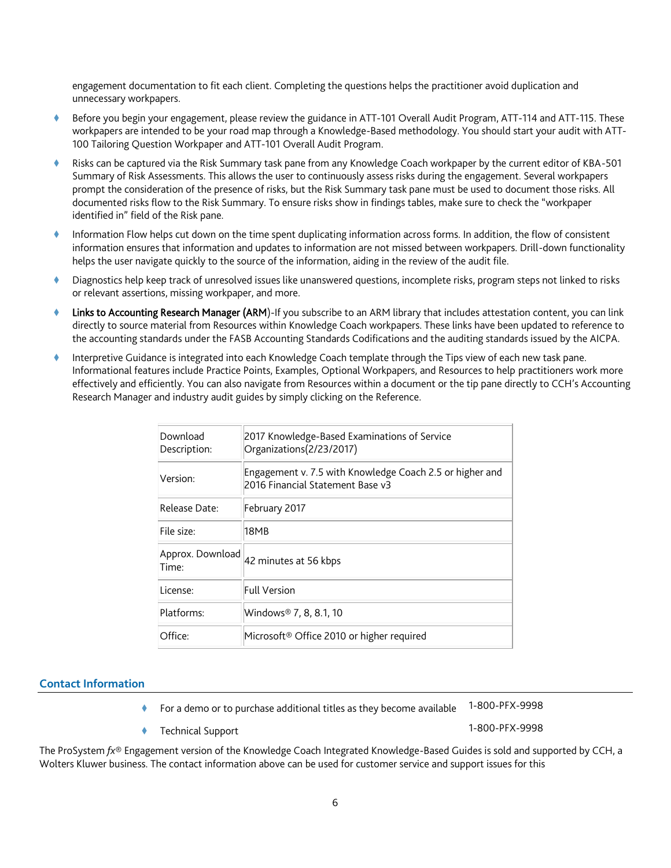engagement documentation to fit each client. Completing the questions helps the practitioner avoid duplication and unnecessary workpapers.

- Before you begin your engagement, please review the guidance in ATT-101 Overall Audit Program, ATT-114 and ATT-115. These workpapers are intended to be your road map through a Knowledge-Based methodology. You should start your audit with ATT-100 Tailoring Question Workpaper and ATT-101 Overall Audit Program.
- Risks can be captured via the Risk Summary task pane from any Knowledge Coach workpaper by the current editor of KBA-501 Summary of Risk Assessments. This allows the user to continuously assess risks during the engagement. Several workpapers prompt the consideration of the presence of risks, but the Risk Summary task pane must be used to document those risks. All documented risks flow to the Risk Summary. To ensure risks show in findings tables, make sure to check the "workpaper identified in" field of the Risk pane.
- Information Flow helps cut down on the time spent duplicating information across forms. In addition, the flow of consistent information ensures that information and updates to information are not missed between workpapers. Drill-down functionality helps the user navigate quickly to the source of the information, aiding in the review of the audit file.
- Diagnostics help keep track of unresolved issues like unanswered questions, incomplete risks, program steps not linked to risks or relevant assertions, missing workpaper, and more.
- Links to Accounting Research Manager (ARM)-If you subscribe to an ARM library that includes attestation content, you can link directly to source material from Resources within Knowledge Coach workpapers. These links have been updated to reference to the accounting standards under the FASB Accounting Standards Codifications and the auditing standards issued by the AICPA.
- Interpretive Guidance is integrated into each Knowledge Coach template through the Tips view of each new task pane. Informational features include Practice Points, Examples, Optional Workpapers, and Resources to help practitioners work more effectively and efficiently. You can also navigate from Resources within a document or the tip pane directly to CCH's Accounting Research Manager and industry audit guides by simply clicking on the Reference.

| Download<br>Description:  | 2017 Knowledge-Based Examinations of Service<br>Organizations (2/23/2017)                    |
|---------------------------|----------------------------------------------------------------------------------------------|
| Version:                  | Engagement v. 7.5 with Knowledge Coach 2.5 or higher and<br>2016 Financial Statement Base v3 |
| Release Date:             | February 2017                                                                                |
| File size:                | 18MB                                                                                         |
| Approx. Download<br>Time: | 42 minutes at 56 kbps                                                                        |
| License:                  | Full Version                                                                                 |
| Platforms:                | Windows® 7, 8, 8.1, 10                                                                       |
| Office:                   | Microsoft <sup>®</sup> Office 2010 or higher required                                        |

#### **Contact Information**

- For a demo or to purchase additional titles as they become available 1-800-PFX-9998
- Technical Support 1-800-PFX-9998

The ProSystem *fx*® Engagement version of the Knowledge Coach Integrated Knowledge-Based Guides is sold and supported by CCH, a Wolters Kluwer business. The contact information above can be used for customer service and support issues for this